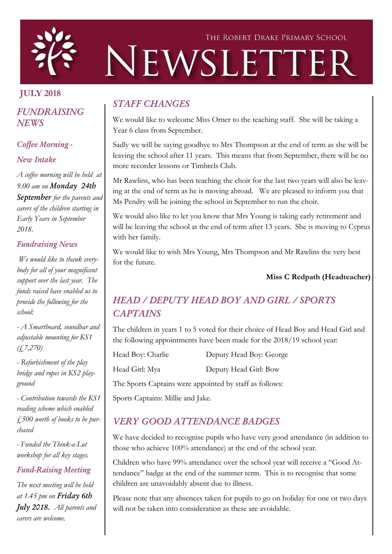

# THE ROBERT DRAKE PRIMARY SCHOOL NEWSLETTER

# JULY 2018

## *FUNDRAISING NEWS*

#### *Coffee Morning -*

#### *New Intake*

*A coffee morning will be held at 9.00 am on Monday 24th September for the parents and carers of the children starting in Early Years in September 2018.*

#### *Fundraising News*

*We would like to thank everybody for all of your magnificent support over the last year. The funds raised have enabled us to provide the following for the school:*

*- A Smartboard, soundbar and adjustable mounting for KS1 (£7,270)*

*- Refurbishment of the play bridge and ropes in KS2 playground*

*- Contribution towards the KS1 reading scheme which enabled £500 worth of books to be purchased*

*- Funded the Think-a-Lot workshop for all key stages.*

#### *Fund-Raising Meeting*

*The next meeting will be held at 1.45 pm on Friday 6th July 2018. All parents and carers are welcome.*

# *STAFF CHANGES*

We would like to welcome Miss Orner to the teaching staff. She will be taking a Year 6 class from September.

Sadly we will be saying goodbye to Mrs Thompson at the end of term as she will be leaving the school after 11 years. This means that from September, there will be no more recorder lessons or Timbrels Club.

Mr Rawlins, who has been teaching the choir for the last two years will also be leaving at the end of term as he is moving abroad. We are pleased to inform you that Ms Pendry will be joining the school in September to run the choir.

We would also like to let you know that Mrs Young is taking early retirement and will be leaving the school at the end of term after 13 years. She is moving to Cyprus with her family.

We would like to wish Mrs Young, Mrs Thompson and Mr Rawlins the very best for the future.

#### Miss C Redpath (Headteacher)

# *HEAD / DEPUTY HEAD BOY AND GIRL / SPORTS CAPTAINS*

The children in years 1 to 5 voted for their choice of Head Boy and Head Girl and the following appointments have been made for the 2018/19 school year:

| Head Boy: Charlie |  |
|-------------------|--|
| Head Girl: Mya    |  |

Deputy Head Boy: George

Head Girl: Mya Deputy Head Girl: Bow

The Sports Captains were appointed by staff as follows:

Sports Captains: Millie and Jake.

# *VERY GOOD ATTENDANCE BADGES*

We have decided to recognise pupils who have very good attendance (in addition to those who achieve 100% attendance) at the end of the school year.

Children who have 99% attendance over the school year will receive a "Good Attendance" badge at the end of the summer term. This is to recognise that some children are unavoidably absent due to illness.

Please note that any absences taken for pupils to go on holiday for one or two days will not be taken into consideration as these are avoidable.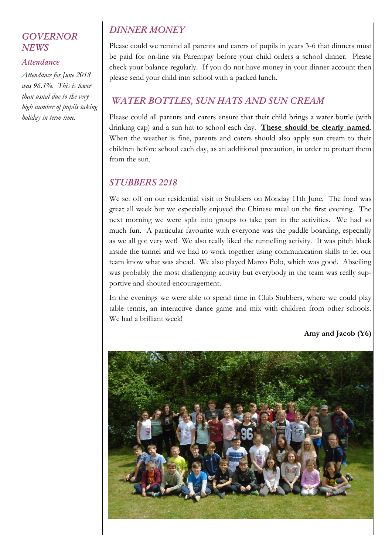#### *GOVERNOR NEWS*

#### *Attendance*

*Attendance for June 2018 was 96.1%. This is lower than usual due to the very high number of pupils taking holiday in term time.*

## *DINNER MONEY*

Please could we remind all parents and carers of pupils in years 3-6 that dinners must be paid for on-line via Parentpay before your child orders a school dinner. Please check your balance regularly. If you do not have money in your dinner account then please send your child into school with a packed lunch.

# *WATER BOTTLES, SUN HATS AND SUN CREAM*

Please could all parents and carers ensure that their child brings a water bottle (with drinking cap) and a sun hat to school each day. These should be clearly named. When the weather is fine, parents and carers should also apply sun cream to their children before school each day, as an additional precaution, in order to protect them from the sun.

#### *STUBBERS 2018*

We set off on our residential visit to Stubbers on Monday 11th June. The food was great all week but we especially enjoyed the Chinese meal on the first evening. The next morning we were split into groups to take part in the activities. We had so much fun. A particular favourite with everyone was the paddle boarding, especially as we all got very wet! We also really liked the tunnelling activity. It was pitch black inside the tunnel and we had to work together using communication skills to let our team know what was ahead. We also played Marco Polo, which was good. Abseiling was probably the most challenging activity but everybody in the team was really supportive and shouted encouragement.

In the evenings we were able to spend time in Club Stubbers, where we could play table tennis, an interactive dance game and mix with children from other schools. We had a brilliant week!

Amy and Jacob (Y6)

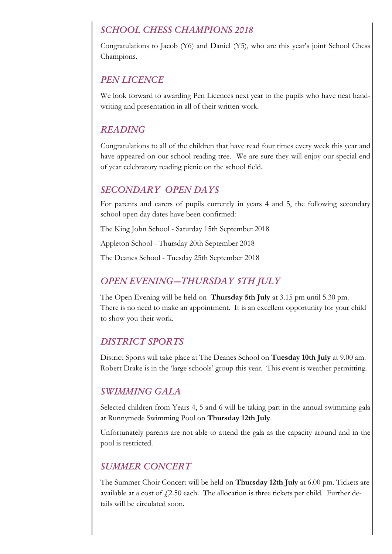#### *SCHOOL CHESS CHAMPIONS 2018*

Congratulations to Jacob (Y6) and Daniel (Y5), who are this year's joint School Chess Champions.

#### *PEN LICENCE*

We look forward to awarding Pen Licences next year to the pupils who have neat handwriting and presentation in all of their written work.

#### *READING*

Congratulations to all of the children that have read four times every week this year and have appeared on our school reading tree. We are sure they will enjoy our special end of year celebratory reading picnic on the school field.

#### *SECONDARY OPEN DAYS*

For parents and carers of pupils currently in years 4 and 5, the following secondary school open day dates have been confirmed:

The King John School - Saturday 15th September 2018

Appleton School - Thursday 20th September 2018

The Deanes School - Tuesday 25th September 2018

## *OPEN EVENING—THURSDAY 5TH JULY*

The Open Evening will be held on Thursday 5th July at 3.15 pm until 5.30 pm. There is no need to make an appointment. It is an excellent opportunity for your child to show you their work.

#### *DISTRICT SPORTS*

District Sports will take place at The Deanes School on Tuesday 10th July at 9.00 am. Robert Drake is in the 'large schools' group this year. This event is weather permitting.

#### *SWIMMING GALA*

Selected children from Years 4, 5 and 6 will be taking part in the annual swimming gala at Runnymede Swimming Pool on Thursday 12th July.

Unfortunately parents are not able to attend the gala as the capacity around and in the pool is restricted.

#### *SUMMER CONCERT*

The Summer Choir Concert will be held on Thursday 12th July at 6.00 pm. Tickets are available at a cost of  $\sqrt{2.50}$  each. The allocation is three tickets per child. Further details will be circulated soon.